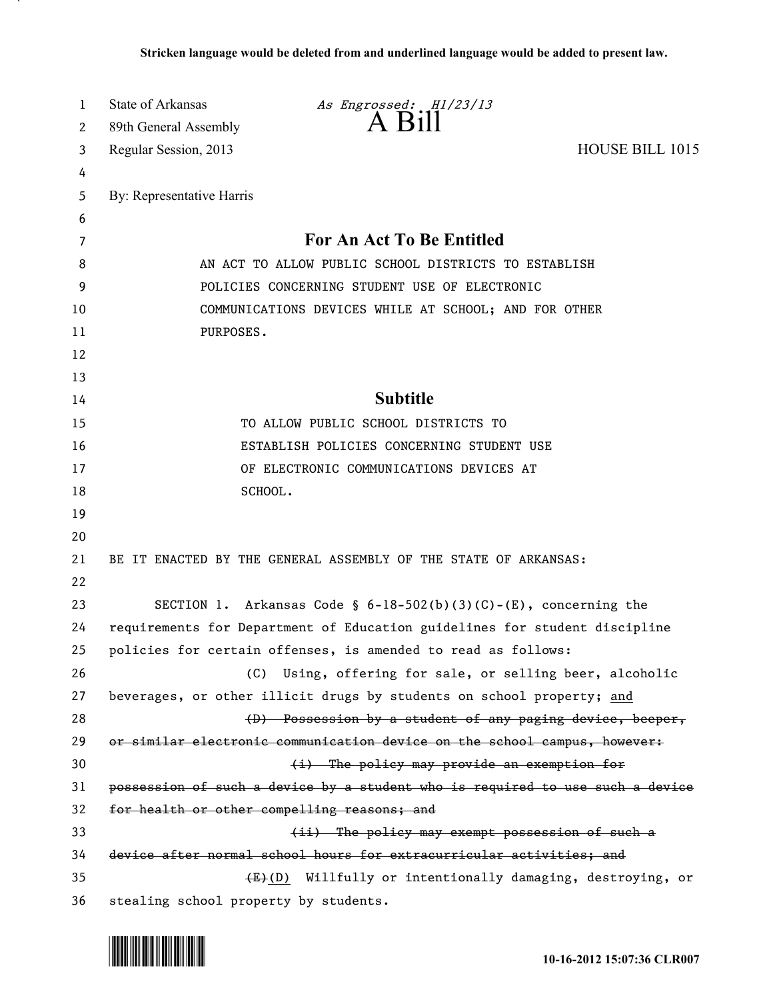| 1  | <b>State of Arkansas</b>              | As Engrossed: H1/23/13                                                        |                 |
|----|---------------------------------------|-------------------------------------------------------------------------------|-----------------|
| 2  | 89th General Assembly                 | A Bill                                                                        |                 |
| 3  | Regular Session, 2013                 |                                                                               | HOUSE BILL 1015 |
| 4  |                                       |                                                                               |                 |
| 5  | By: Representative Harris             |                                                                               |                 |
| 6  |                                       |                                                                               |                 |
| 7  |                                       | For An Act To Be Entitled                                                     |                 |
| 8  |                                       | AN ACT TO ALLOW PUBLIC SCHOOL DISTRICTS TO ESTABLISH                          |                 |
| 9  |                                       | POLICIES CONCERNING STUDENT USE OF ELECTRONIC                                 |                 |
| 10 |                                       | COMMUNICATIONS DEVICES WHILE AT SCHOOL; AND FOR OTHER                         |                 |
| 11 | PURPOSES.                             |                                                                               |                 |
| 12 |                                       |                                                                               |                 |
| 13 |                                       |                                                                               |                 |
| 14 |                                       | <b>Subtitle</b>                                                               |                 |
| 15 |                                       | TO ALLOW PUBLIC SCHOOL DISTRICTS TO                                           |                 |
| 16 |                                       | ESTABLISH POLICIES CONCERNING STUDENT USE                                     |                 |
| 17 |                                       | OF ELECTRONIC COMMUNICATIONS DEVICES AT                                       |                 |
| 18 |                                       | SCHOOL.                                                                       |                 |
| 19 |                                       |                                                                               |                 |
| 20 |                                       |                                                                               |                 |
| 21 |                                       | BE IT ENACTED BY THE GENERAL ASSEMBLY OF THE STATE OF ARKANSAS:               |                 |
| 22 |                                       |                                                                               |                 |
| 23 |                                       | SECTION 1. Arkansas Code § $6-18-502(b)(3)(C)-(E)$ , concerning the           |                 |
| 24 |                                       | requirements for Department of Education guidelines for student discipline    |                 |
| 25 |                                       | policies for certain offenses, is amended to read as follows:                 |                 |
| 26 | (C)                                   | Using, offering for sale, or selling beer, alcoholic                          |                 |
| 27 |                                       | beverages, or other illicit drugs by students on school property; and         |                 |
| 28 |                                       | (D) Possession by a student of any paging device, beeper,                     |                 |
| 29 |                                       | or similar electronic communication device on the school campus, however:     |                 |
| 30 |                                       | (i) The policy may provide an exemption for                                   |                 |
| 31 |                                       | possession of such a device by a student who is required to use such a device |                 |
| 32 |                                       | for health or other compelling reasons; and                                   |                 |
| 33 |                                       | (ii) The policy may exempt possession of such a                               |                 |
| 34 |                                       | device after normal school hours for extracurricular activities; and          |                 |
| 35 |                                       | $(E)$ Willfully or intentionally damaging, destroying, or                     |                 |
| 36 | stealing school property by students. |                                                                               |                 |



.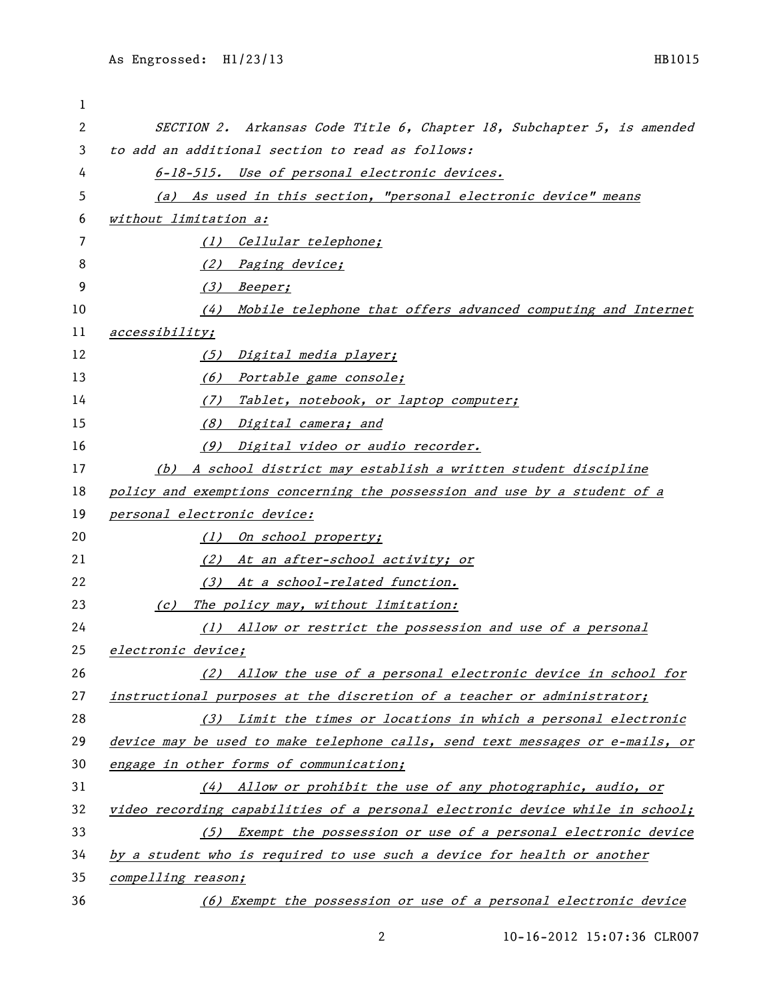| 1  |                                                                               |
|----|-------------------------------------------------------------------------------|
| 2  | SECTION 2. Arkansas Code Title 6, Chapter 18, Subchapter 5, is amended        |
| 3  | to add an additional section to read as follows:                              |
| 4  | 6-18-515. Use of personal electronic devices.                                 |
| 5  | (a) As used in this section, "personal electronic device" means               |
| 6  | without limitation a:                                                         |
| 7  | (1) Cellular telephone;                                                       |
| 8  | (2) Paging device;                                                            |
| 9  | (3) Beeper;                                                                   |
| 10 | (4) Mobile telephone that offers advanced computing and Internet              |
| 11 | accessibility;                                                                |
| 12 | (5) Digital media player;                                                     |
| 13 | (6) Portable game console;                                                    |
| 14 | Tablet, notebook, or laptop computer;<br>(7)                                  |
| 15 | (8) Digital camera; and                                                       |
| 16 | (9) Digital video or audio recorder.                                          |
| 17 | (b) A school district may establish a written student discipline              |
| 18 | policy and exemptions concerning the possession and use by a student of a     |
| 19 | personal electronic device:                                                   |
| 20 | (1) On school property;                                                       |
| 21 | (2) At an after-school activity; or                                           |
| 22 | (3) At a school-related function.                                             |
| 23 | The policy may, without limitation:<br>$\left( c\right)$                      |
| 24 | (1) Allow or restrict the possession and use of a personal                    |
| 25 | electronic device;                                                            |
| 26 | Allow the use of a personal electronic device in school for<br>(2)            |
| 27 | instructional purposes at the discretion of a teacher or administrator;       |
| 28 | (3) Limit the times or locations in which a personal electronic               |
| 29 | device may be used to make telephone calls, send text messages or e-mails, or |
| 30 | engage in other forms of communication;                                       |
| 31 | (4) Allow or prohibit the use of any photographic, audio, or                  |
| 32 | video recording capabilities of a personal electronic device while in school; |
| 33 | Exempt the possession or use of a personal electronic device<br>(5)           |
| 34 | by a student who is required to use such a device for health or another       |
| 35 | compelling reason;                                                            |
| 36 | (6) Exempt the possession or use of a personal electronic device              |

10-16-2012 15:07:36 CLR007